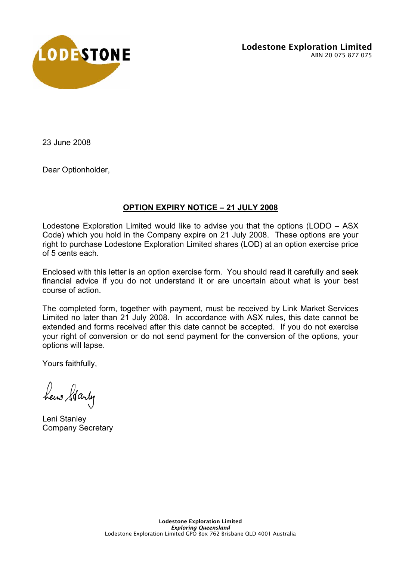

Lodestone Exploration Limited ABN 20 075 877 075

23 June 2008

Dear Optionholder,

## **OPTION EXPIRY NOTICE – 21 JULY 2008**

Lodestone Exploration Limited would like to advise you that the options (LODO – ASX Code) which you hold in the Company expire on 21 July 2008. These options are your right to purchase Lodestone Exploration Limited shares (LOD) at an option exercise price of 5 cents each.

Enclosed with this letter is an option exercise form. You should read it carefully and seek financial advice if you do not understand it or are uncertain about what is your best course of action.

The completed form, together with payment, must be received by Link Market Services Limited no later than 21 July 2008. In accordance with ASX rules, this date cannot be extended and forms received after this date cannot be accepted. If you do not exercise your right of conversion or do not send payment for the conversion of the options, your options will lapse.

Yours faithfully,

hew Starty

Leni Stanley Company Secretary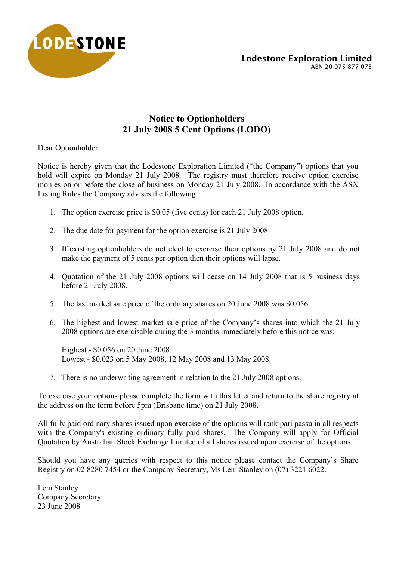

# **Notice to Optionholders 21 July 2008 5 Cent Options (LODO)**

Dear Optionholder

Notice is hereby given that the Lodestone Exploration Limited ("the Company") options that you hold will expire on Monday 21 July 2008. The registry must therefore receive option exercise monies on or before the close of business on Monday 21 July 2008. In accordance with the ASX Listing Rules the Company advises the following:

- 1. The option exercise price is \$0.05 (five cents) for each 21 July 2008 option.
- 2. The due date for payment for the option exercise is 21 July 2008.
- 3. If existing optionholders do not elect to exercise their options by 21 July 2008 and do not make the payment of 5 cents per option then their options will lapse.
- 4. Quotation of the 21 July 2008 options will cease on 14 July 2008 that is 5 business days before 21 July 2008.
- 5. The last market sale price of the ordinary shares on 20 June 2008 was \$0.056.
- 6. The highest and lowest market sale price of the Company's shares into which the 21 July 2008 options are exercisable during the 3 months immediately before this notice was;

Highest - \$0.056 on 20 June 2008. Lowest - \$0.023 on 5 May 2008, 12 May 2008 and 13 May 2008.

7. There is no underwriting agreement in relation to the 21 July 2008 options.

To exercise your options please complete the form with this letter and return to the share registry at the address on the form before 5pm (Brisbane time) on 21 July 2008.

All fully paid ordinary shares issued upon exercise of the options will rank pari passu in all respects with the Company's existing ordinary fully paid shares. The Company will apply for Official Quotation by Australian Stock Exchange Limited of all shares issued upon exercise of the options.

Should you have any queries with respect to this notice please contact the Company's Share Registry on 02 8280 7454 or the Company Secretary, Ms Leni Stanley on (07) 3221 6022.

Leni Stanley Company Secretary 23 June 2008